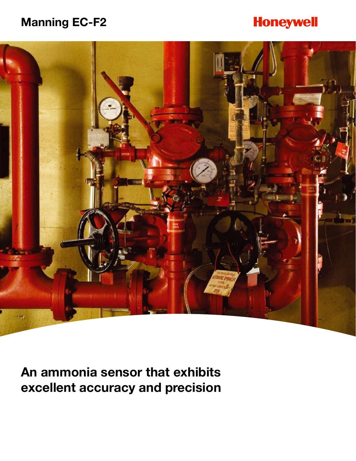# **Manning EC-F2**

# **Honeywell**



**An ammonia sensor that exhibits excellent accuracy and precision**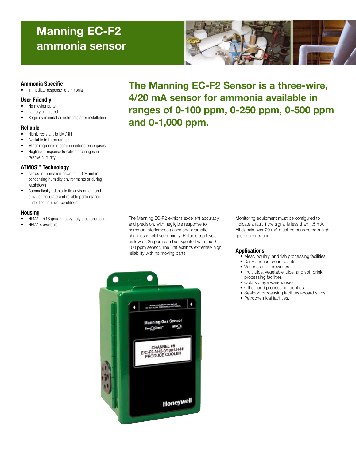# **Manning EC-F2 ammonia sensor**



## **Ammonia Specific**

• Immediate response to ammonia

## **User Friendly**

- No moving parts
- Factory calibrated
- Requires minimal adjustments after installation

### **Reliable**

- Highly resistant to EMI/RFI
- Available in three ranges
- Minor response to common interference gases
- Negligible response to extreme changes in relative humidity

## **ATMOSTM Technology**

- Allows for operation down to -50°F and in condensing humidity environments or during washdown
- Automatically adapts to its environment and provides accurate and reliable performance under the harshest conditions

## **Housing**

- NEMA 1 #16 gauge heavy-duty steel enclosure
- NEMA 4 available

**The Manning EC-F2 Sensor is a three-wire, 4/20 mA sensor for ammonia available in ranges of 0-100 ppm, 0-250 ppm, 0-500 ppm and 0-1,000 ppm.**

The Manning EC-P2 exhibits excellent accuracy and precision, with negligible response to common interference gases and dramatic changes in relative humidity. Reliable trip levels as low as 25 ppm can be expected with the 0- 100 ppm sensor. The unit exhibits extremely high reliability with no moving parts.

Monitoring equipment must be configured to indicate a fault if the signal is less than 1.5 mA. All signals over 20 mA must be considered a high gas concentration.

#### **Applications**

- • Meat, poultry, and fish processing facilities
- Dairy and ice cream plants,
- Wineries and breweries
- • Fruit juice, vegetable juice, and soft drink processing facilities
- Cold storage warehouses
- Other food processing facilities
- Seafood processing facilities aboard ships
- Petrochemical facilities.

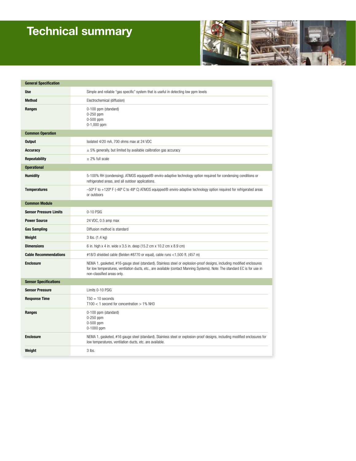# **Technical summary**



| <b>General Specification</b>  |                                                                                                                                                                                                                                                                                      |
|-------------------------------|--------------------------------------------------------------------------------------------------------------------------------------------------------------------------------------------------------------------------------------------------------------------------------------|
| <b>Use</b>                    | Simple and reliable "gas specific" system that is useful in detecting low ppm levels                                                                                                                                                                                                 |
| <b>Method</b>                 | Electrochemical (diffusion)                                                                                                                                                                                                                                                          |
| Ranges                        | 0-100 ppm (standard)<br>$0-250$ ppm<br>0-500 ppm<br>$0-1,000$ ppm                                                                                                                                                                                                                    |
| <b>Common Operation</b>       |                                                                                                                                                                                                                                                                                      |
| <b>Output</b>                 | Isolated 4/20 mA, 700 ohms max at 24 VDC                                                                                                                                                                                                                                             |
| <b>Accuracy</b>               | $\pm$ 5% generally, but limited by available calibration gas accuracy                                                                                                                                                                                                                |
| <b>Repeatability</b>          | $\pm$ 2% full scale                                                                                                                                                                                                                                                                  |
| <b>Operational</b>            |                                                                                                                                                                                                                                                                                      |
| <b>Humidity</b>               | 5-100% RH (condensing). ATMOS equipped® enviro-adaptive technology option required for condensing conditions or<br>refrigerated areas, and all outdoor applications.                                                                                                                 |
| <b>Temperatures</b>           | $-50^{\circ}$ F to +120° F (-46° C to 49° C) ATMOS equipped® enviro-adaptive technology option required for refrigerated areas<br>or outdoors                                                                                                                                        |
| <b>Common Module</b>          |                                                                                                                                                                                                                                                                                      |
| <b>Sensor Pressure Limits</b> | 0-10 PSIG                                                                                                                                                                                                                                                                            |
| <b>Power Source</b>           | 24 VDC, 0.5 amp max                                                                                                                                                                                                                                                                  |
| <b>Gas Sampling</b>           | Diffusion method is standard                                                                                                                                                                                                                                                         |
| Weight                        | 3 lbs. (1.4 kg)                                                                                                                                                                                                                                                                      |
| <b>Dimensions</b>             | 6 in. high x 4 in. wide x 3.5 in. deep (15.2 cm x 10.2 cm x 8.9 cm)                                                                                                                                                                                                                  |
| <b>Cable Recommendations</b>  | #18/3 shielded cable (Belden #8770 or equal), cable runs <1,500 ft. (457 m)                                                                                                                                                                                                          |
| <b>Enclosure</b>              | NEMA 1, gasketed, #16-gauge steel (standard). Stainless steel or explosion-proof designs, including modified enclosures<br>for low temperatures, ventilation ducts, etc., are available (contact Manning Systems). Note: The standard EC is for use in<br>non-classified areas only. |
| <b>Sensor Specifications</b>  |                                                                                                                                                                                                                                                                                      |
| <b>Sensor Pressure</b>        | Limits 0-10 PSIG                                                                                                                                                                                                                                                                     |
| <b>Response Time</b>          | $T50 = 10$ seconds<br>$T100 < 1$ second for concentration $> 1\%$ NH3                                                                                                                                                                                                                |
| Ranges                        | 0-100 ppm (standard)<br>0-250 ppm<br>0-500 ppm<br>0-1000 ppm                                                                                                                                                                                                                         |
| <b>Enclosure</b>              | NEMA 1, gasketed, #16 gauge steel (standard). Stainless steel or explosion-proof designs, including modified enclosures for<br>low temperatures, ventilation ducts, etc. are available.                                                                                              |
| Weight                        | 3 lbs.                                                                                                                                                                                                                                                                               |